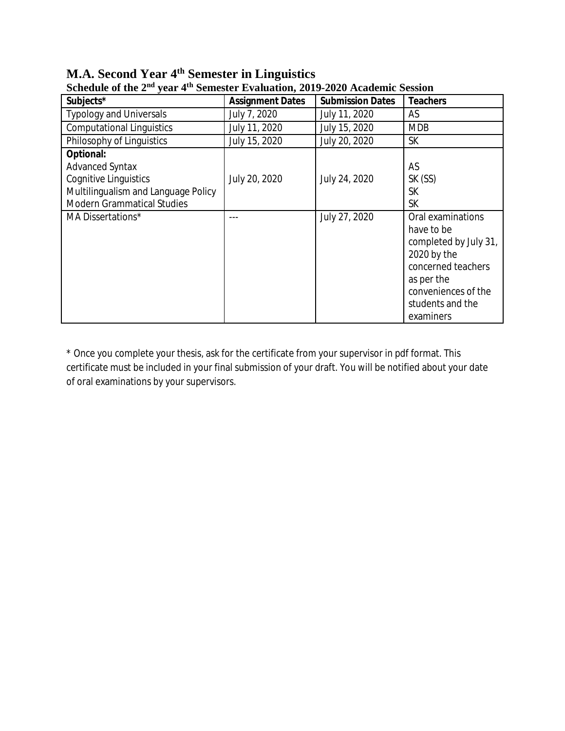| Subjects*                                                                                                                                              | <b>Assignment Dates</b> | <b>Submission Dates</b> | <b>Teachers</b>                                                                                                                                                     |
|--------------------------------------------------------------------------------------------------------------------------------------------------------|-------------------------|-------------------------|---------------------------------------------------------------------------------------------------------------------------------------------------------------------|
| <b>Typology and Universals</b>                                                                                                                         | July 7, 2020            | July 11, 2020           | AS                                                                                                                                                                  |
| <b>Computational Linguistics</b>                                                                                                                       | July 11, 2020           | July 15, 2020           | <b>MDB</b>                                                                                                                                                          |
| Philosophy of Linguistics                                                                                                                              | July 15, 2020           | July 20, 2020           | <b>SK</b>                                                                                                                                                           |
| <b>Optional:</b><br><b>Advanced Syntax</b><br><b>Cognitive Linguistics</b><br>Multilingualism and Language Policy<br><b>Modern Grammatical Studies</b> | July 20, 2020           | July 24, 2020           | AS<br>SK (SS)<br><b>SK</b><br><b>SK</b>                                                                                                                             |
| MA Dissertations*                                                                                                                                      |                         | July 27, 2020           | Oral examinations<br>have to be<br>completed by July 31,<br>2020 by the<br>concerned teachers<br>as per the<br>conveniences of the<br>students and the<br>examiners |

**M.A. Second Year 4th Semester in Linguistics Schedule of the 2nd year 4th Semester Evaluation, 2019-2020 Academic Session**

\* Once you complete your thesis, ask for the certificate from your supervisor in pdf format. This certificate must be included in your final submission of your draft. You will be notified about your date of oral examinations by your supervisors.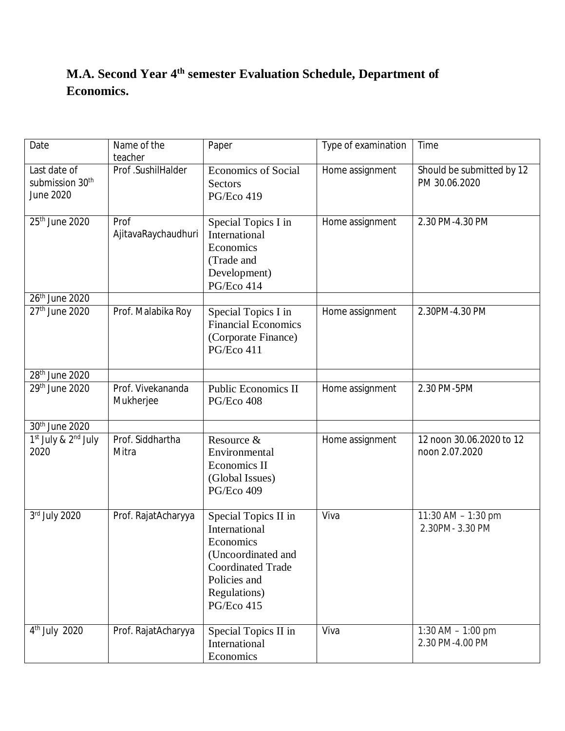# **M.A. Second Year 4 th semester Evaluation Schedule, Department of Economics.**

| Date                                                     | Name of the<br>teacher         | Paper                                                                                                                                              | Type of examination | Time                                       |
|----------------------------------------------------------|--------------------------------|----------------------------------------------------------------------------------------------------------------------------------------------------|---------------------|--------------------------------------------|
| Last date of<br>submission 30 <sup>th</sup><br>June 2020 | Prof.SushilHalder              | <b>Economics of Social</b><br><b>Sectors</b><br>PG/Eco 419                                                                                         | Home assignment     | Should be submitted by 12<br>PM 30.06.2020 |
| 25 <sup>th</sup> June 2020                               | Prof<br>AjitavaRaychaudhuri    | Special Topics I in<br>International<br>Economics<br>(Trade and<br>Development)<br>PG/Eco 414                                                      | Home assignment     | 2.30 PM-4.30 PM                            |
| 26 <sup>th</sup> June 2020                               |                                |                                                                                                                                                    |                     |                                            |
| 27 <sup>th</sup> June 2020                               | Prof. Malabika Roy             | Special Topics I in<br><b>Financial Economics</b><br>(Corporate Finance)<br>PG/Eco 411                                                             | Home assignment     | 2.30PM-4.30 PM                             |
| 28 <sup>th</sup> June 2020                               |                                |                                                                                                                                                    |                     |                                            |
| 29th June 2020                                           | Prof. Vivekananda<br>Mukherjee | <b>Public Economics II</b><br>PG/Eco 408                                                                                                           | Home assignment     | 2.30 PM-5PM                                |
| 30th June 2020                                           |                                |                                                                                                                                                    |                     |                                            |
| $1st$ July & $2nd$ July<br>2020                          | Prof. Siddhartha<br>Mitra      | Resource &<br>Environmental<br><b>Economics II</b><br>(Global Issues)<br>PG/Eco 409                                                                | Home assignment     | 12 noon 30.06.2020 to 12<br>noon 2.07.2020 |
| 3rd July 2020                                            | Prof. RajatAcharyya            | Special Topics II in<br>International<br>Economics<br>(Uncoordinated and<br><b>Coordinated Trade</b><br>Policies and<br>Regulations)<br>PG/Eco 415 | Viva                | 11:30 AM - 1:30 pm<br>2.30PM-3.30 PM       |
| $4th$ July 2020                                          | Prof. RajatAcharyya            | Special Topics II in<br>International<br>Economics                                                                                                 | Viva                | 1:30 AM $-$ 1:00 pm<br>2.30 PM-4.00 PM     |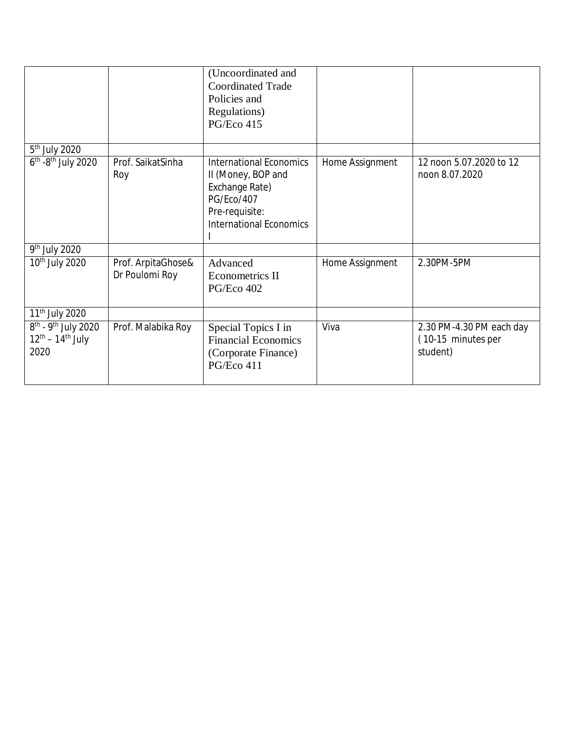|                                                                       |                                      | (Uncoordinated and<br><b>Coordinated Trade</b><br>Policies and<br>Regulations)<br>PG/Eco 415                                             |                 |                                                            |
|-----------------------------------------------------------------------|--------------------------------------|------------------------------------------------------------------------------------------------------------------------------------------|-----------------|------------------------------------------------------------|
| 5 <sup>th</sup> July 2020                                             |                                      |                                                                                                                                          |                 |                                                            |
| $6th$ -8 <sup>th</sup> July 2020                                      | Prof. SaikatSinha<br>Roy             | <b>International Economics</b><br>II (Money, BOP and<br>Exchange Rate)<br>PG/Eco/407<br>Pre-requisite:<br><b>International Economics</b> | Home Assignment | 12 noon 5.07.2020 to 12<br>noon 8.07.2020                  |
| 9 <sup>th</sup> July 2020                                             |                                      |                                                                                                                                          |                 |                                                            |
| 10 <sup>th</sup> July 2020                                            | Prof. ArpitaGhose&<br>Dr Poulomi Roy | Advanced<br><b>Econometrics II</b><br><b>PG/Eco 402</b>                                                                                  | Home Assignment | 2.30PM-5PM                                                 |
| 11 <sup>th</sup> July 2020                                            |                                      |                                                                                                                                          |                 |                                                            |
| $8th$ - 9 <sup>th</sup> July 2020<br>$12^{th} - 14^{th}$ July<br>2020 | Prof. Malabika Roy                   | Special Topics I in<br><b>Financial Economics</b><br>(Corporate Finance)<br>PG/Eco 411                                                   | Viva            | 2.30 PM-4.30 PM each day<br>(10-15 minutes per<br>student) |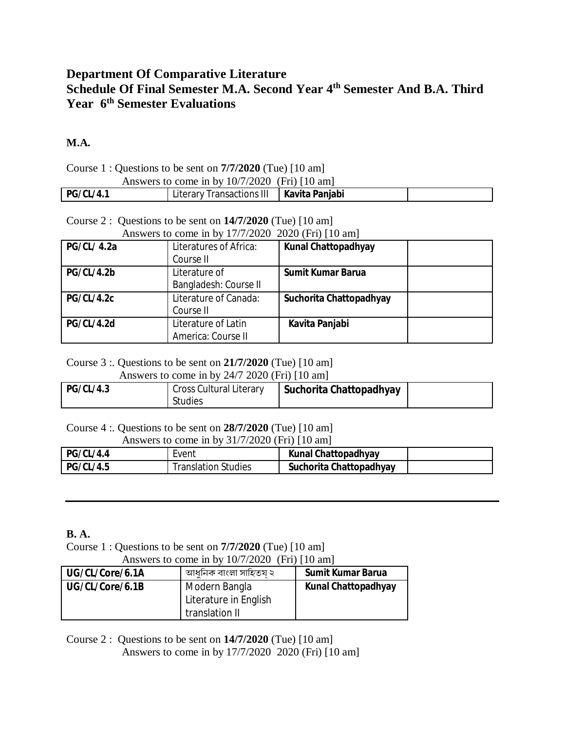## **Department Of Comparative Literature Schedule Of Final Semester M.A. Second Year 4th Semester And B.A. Third Year 6 th Semester Evaluations**

### **M.A.**

| Course 1 : Questions to be sent on $7/7/2020$ (Tue) [10 am] |                                            |  |  |  |
|-------------------------------------------------------------|--------------------------------------------|--|--|--|
| Answers to come in by $10/7/2020$ (Fri) [10 am]             |                                            |  |  |  |
| <b>PG/CL/4.1</b>                                            | Literary Transactions III   Kavita Panjabi |  |  |  |

Course 2 : Questions to be sent on **14/7/2020** (Tue) [10 am] Answers to come in by 17/7/2020 2020 (Fri) [10 am]

| <b>PG/CL/ 4.2a</b> | Literatures of Africa:<br>Course II       | <b>Kunal Chattopadhyay</b> |  |
|--------------------|-------------------------------------------|----------------------------|--|
| PG/CL/4.2b         | Literature of<br>Bangladesh: Course II    | <b>Sumit Kumar Barua</b>   |  |
| <b>PG/CL/4.2c</b>  | Literature of Canada:<br>Course II        | Suchorita Chattopadhyay    |  |
| <b>PG/CL/4.2d</b>  | Literature of Latin<br>America: Course II | Kavita Panjabi             |  |

#### Course 3 :. Questions to be sent on **21/7/2020** (Tue) [10 am]

Answers to come in by 24/7 2020 (Fri) [10 am]

| <b>PG/CL/4.3</b> | Cross Cultural Literary | Suchorita Chattopadhyay |  |
|------------------|-------------------------|-------------------------|--|
|                  | <b>Studies</b>          |                         |  |

Course 4 :. Questions to be sent on **28/7/2020** (Tue) [10 am]

Answers to come in by 31/7/2020 (Fri) [10 am]

| <b>PG/CL/4.4</b> | Event               | <b>Kunal Chattopadhyay</b> |  |
|------------------|---------------------|----------------------------|--|
| <b>PG/CL/4.5</b> | Translation Studies | Suchorita Chattopadhyay    |  |

### **B. A.**

Course 1 : Questions to be sent on **7/7/2020** (Tue) [10 am] Answers to come in by  $10/7/2020$  (Fri)  $[10 \text{ am}]$ 

| $\Delta$ a Sweis to come in by T0/1/2020 (TTI)   T0 and |                       |                            |  |
|---------------------------------------------------------|-----------------------|----------------------------|--|
| UG/CL/Core/6.1A                                         | আধনিক বাংলা সাহিতয ২  | <b>Sumit Kumar Barua</b>   |  |
| UG/CL/Core/6.1B                                         | Modern Bangla         | <b>Kunal Chattopadhyay</b> |  |
|                                                         | Literature in English |                            |  |
|                                                         | translation II        |                            |  |

Course 2 : Questions to be sent on **14/7/2020** (Tue) [10 am] Answers to come in by 17/7/2020 2020 (Fri) [10 am]